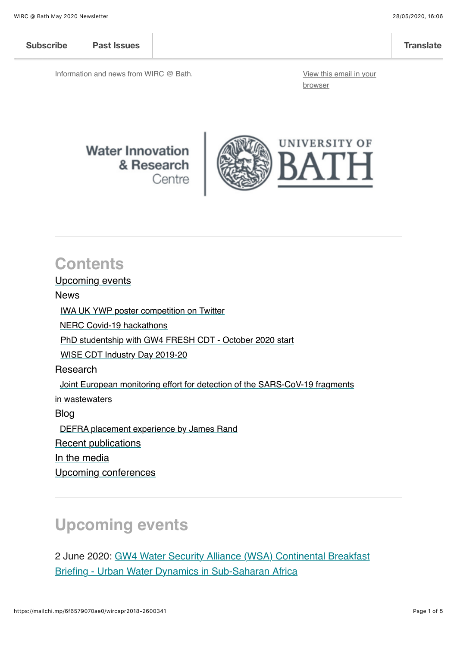| <b>Subscribe</b> | <b>Past Issues</b> | <b>Translate</b> |
|------------------|--------------------|------------------|

Information and news from WIRC @ Bath. [View this email in your](https://mailchi.mp/6f6579070ae0/wircapr2018-2600341?e=%5BUNIQID%5D)

browser

#### **Water Innovation** & Research Centre



### **Contents**

[Upcoming events](#page-0-0)

News

[IWA UK YWP poster competition on Twitter](#page-1-0)

[NERC Covid-19 hackathons](#page-1-1)

[PhD studentship with GW4 FRESH CDT - October 2020 start](#page-1-2)

[WISE CDT Industry Day 2019-20](#page-2-0)

Research

 [Joint European monitoring effort for detection of the SARS-CoV-19 fragments](#page-2-1)

i[n wastewaters](#page-2-1)

Blog

[DEFRA placement experience by James Rand](#page-3-0)

[Recent publications](#page-3-1)

[In the media](https://mailchi.mp/6f6579070ae0/wircapr2018-2600341%23media)

[Upcoming conferences](#page-4-0)

### <span id="page-0-0"></span>**Upcoming events**

[2 June 2020: GW4 Water Security Alliance \(WSA\) Continental Breakfast](https://www.eventbrite.co.uk/e/continental-breakfast-briefing-urban-water-dynamics-in-sub-saharan-africa-tickets-106095526576) Briefing - Urban Water Dynamics in Sub-Saharan Africa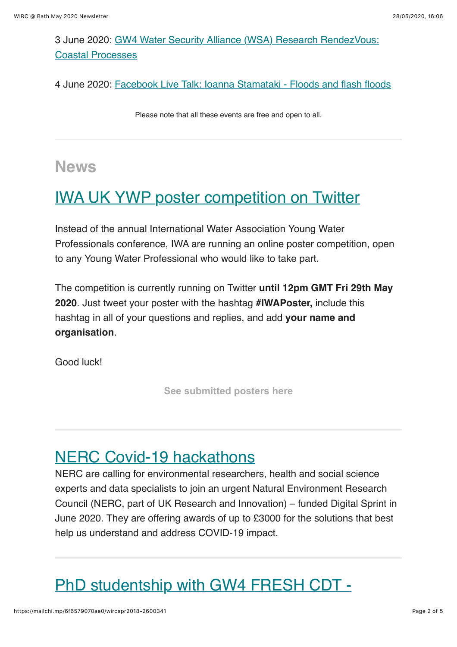[3 June 2020: GW4 Water Security Alliance \(WSA\) Research RendezVous:](https://www.bath.ac.uk/events/gw4-water-security-alliance-wsa-research-rendezvous-coastal-processes/) Coastal Processes

4 June 2020: [Facebook Live Talk: Ioanna Stamataki - Floods and flash floods](https://www.bath.ac.uk/events/facebook-live-talk-ioanna-stamataki-floods-and-flash-floods/)

Please note that all these events are free and open to all.

#### **News**

## <span id="page-1-0"></span>[IWA UK YWP poster competition on Twitter](https://twitter.com/search?q=%23iwaposter&src=typed_query)

Instead of the annual International Water Association Young Water Professionals conference, IWA are running an online poster competition, open to any Young Water Professional who would like to take part.

The competition is currently running on Twitter **until 12pm GMT Fri 29th May 2020**. Just tweet your poster with the hashtag **#IWAPoster,** include this hashtag in all of your questions and replies, and add **your name and organisation**.

Good luck!

**[See submitted posters here](https://twitter.com/search?q=%23iwaposter&src=typed_query)**

### <span id="page-1-1"></span>[NERC Covid-19 hackathons](https://digitalenvironment.org/home/covid-19-digital-sprint-hackathons/)

NERC are calling for environmental researchers, health and social science experts and data specialists to join an urgent Natural Environment Research Council (NERC, part of UK Research and Innovation) – funded Digital Sprint in June 2020. They are offering awards of up to £3000 for the solutions that best help us understand and address COVID-19 impact.

# <span id="page-1-2"></span>[PhD studentship with GW4 FRESH CDT -](https://www.gw4fresh.co.uk/projects/)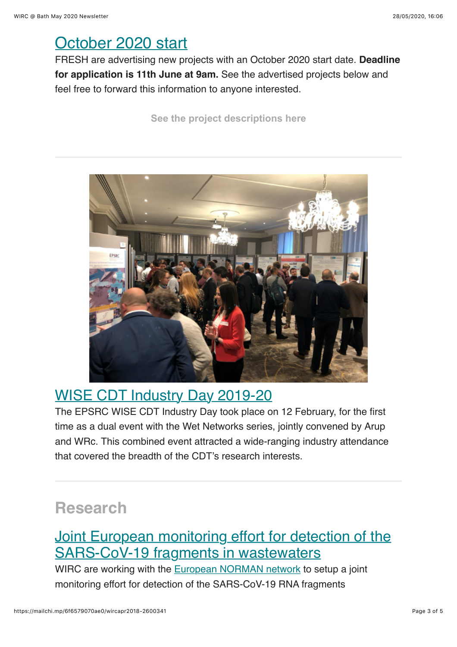### [October 2020 start](https://www.gw4fresh.co.uk/projects/)

FRESH are advertising new projects with an October 2020 start date. **Deadline for application is 11th June at 9am.** See the advertised projects below and feel free to forward this information to anyone interested.

**[See the project descriptions here](https://www.gw4fresh.co.uk/projects/)**



#### <span id="page-2-0"></span>[WISE CDT Industry Day 2019-20](http://blogs.bath.ac.uk/water/2020/05/28/wise-cdt-industry-day-2019-20/)

The EPSRC WISE CDT Industry Day took place on 12 February, for the first time as a dual event with the Wet Networks series, jointly convened by Arup and WRc. This combined event attracted a wide-ranging industry attendance that covered the breadth of the CDT's research interests.

### **Research**

#### <span id="page-2-1"></span>[Joint European monitoring effort for detection of the](http://blogs.bath.ac.uk/water/2020/05/28/joint-european-monitoring-effort-for-detection-of-the-sars-cov-19-fragments-in-wastewaters/) SARS-CoV-19 fragments in wastewaters

WIRC are working with the [European NORMAN network](https://www.norman-network.net/) to setup a joint monitoring effort for detection of the SARS-CoV-19 RNA fragments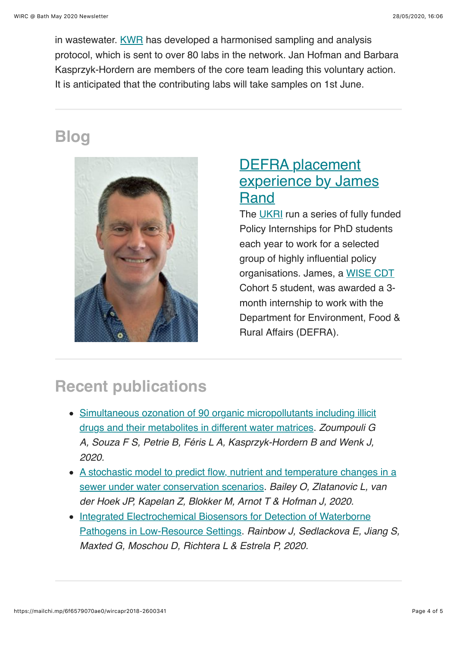in wastewater. [KWR](http://www.globalwaterresearchcoalition.net/about-us/gwrc-members/kwr-watercycle-research-institute/) has developed a harmonised sampling and analysis protocol, which is sent to over 80 labs in the network. Jan Hofman and Barbara Kasprzyk-Hordern are members of the core team leading this voluntary action. It is anticipated that the contributing labs will take samples on 1st June.

## **Blog**



### <span id="page-3-0"></span>DEFRA placement [experience by James](http://blogs.bath.ac.uk/water/2020/05/12/defra-placement-experience-by-james-rand/) Rand

The [UKRI](https://www.ukri.org/) run a series of fully funded Policy Internships for PhD students each year to work for a selected group of highly influential policy organisations. James, a [WISE CDT](http://wisecdt.org.uk/) Cohort 5 student, was awarded a 3 month internship to work with the Department for Environment, Food & Rural Affairs (DEFRA).

# <span id="page-3-1"></span>**Recent publications**

- [Simultaneous ozonation of 90 organic micropollutants including illicit](https://doi.org/10.1039/D0EW00260G) drugs and their metabolites in different water matrices. *Zoumpouli G A, Souza F S, Petrie B, Féris L A, Kasprzyk-Hordern B and Wenk J, 2020.*
- [A stochastic model to predict flow, nutrient and temperature changes in a](https://doi.org/10.3390/w12041187) sewer under water conservation scenarios. *Bailey O, Zlatanovic L, van der Hoek JP, Kapelan Z, Blokker M, Arnot T & Hofman J, 2020.*
- [Integrated Electrochemical Biosensors for Detection of Waterborne](https://doi.org/10.3390/bios10040036) Pathogens in Low-Resource Settings. *Rainbow J, Sedlackova E, Jiang S, Maxted G, Moschou D, Richtera L & Estrela P, 2020.*